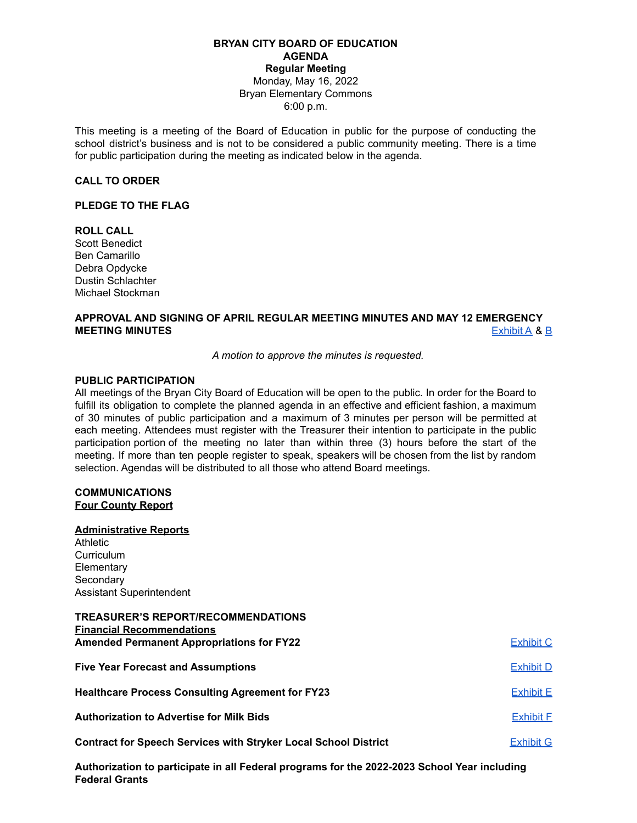## **BRYAN CITY BOARD OF EDUCATION AGENDA Regular Meeting** Monday, May 16, 2022 Bryan Elementary Commons 6:00 p.m.

This meeting is a meeting of the Board of Education in public for the purpose of conducting the school district's business and is not to be considered a public community meeting. There is a time for public participation during the meeting as indicated below in the agenda.

#### **CALL TO ORDER**

#### **PLEDGE TO THE FLAG**

## **ROLL CALL**

Scott Benedict Ben Camarillo Debra Opdycke Dustin Schlachter Michael Stockman

# **APPROVAL AND SIGNING OF APRIL REGULAR MEETING MINUTES AND MAY 12 EMERGENCY MEETING MINUTES** [Exhibit](https://docs.google.com/document/d/1R-afvINu4-nk4cmigVL9YLktGdob5A5AFTeO8iRmQ6Y/edit?usp=sharing) A & [B](https://docs.google.com/document/d/18ohE9u-LUJoXFrew9iX28KMONPVu8dkspfI9KvxvKsI/edit?usp=sharing)

*A motion to approve the minutes is requested.*

## **PUBLIC PARTICIPATION**

All meetings of the Bryan City Board of Education will be open to the public. In order for the Board to fulfill its obligation to complete the planned agenda in an effective and efficient fashion, a maximum of 30 minutes of public participation and a maximum of 3 minutes per person will be permitted at each meeting. Attendees must register with the Treasurer their intention to participate in the public participation portion of the meeting no later than within three (3) hours before the start of the meeting. If more than ten people register to speak, speakers will be chosen from the list by random selection. Agendas will be distributed to all those who attend Board meetings.

## **COMMUNICATIONS Four County Report**

#### **Administrative Reports**

Athletic **Curriculum Elementary Secondary** Assistant Superintendent

## **TREASURER'S REPORT/RECOMMENDATIONS Financial Recommendations Amended Permanent Appropriations for FY22** [Exhibit](https://drive.google.com/file/d/1XtW7mFHE2dBFqdFARFwVclyrAxraiSAg/view?usp=sharing) C

| <b>Five Year Forecast and Assumptions</b>                              | <b>Exhibit D</b> |
|------------------------------------------------------------------------|------------------|
| <b>Healthcare Process Consulting Agreement for FY23</b>                | <b>Exhibit E</b> |
| <b>Authorization to Advertise for Milk Bids</b>                        | <b>Exhibit E</b> |
| <b>Contract for Speech Services with Stryker Local School District</b> | Exhibit G        |

**Authorization to participate in all Federal programs for the 2022-2023 School Year including Federal Grants**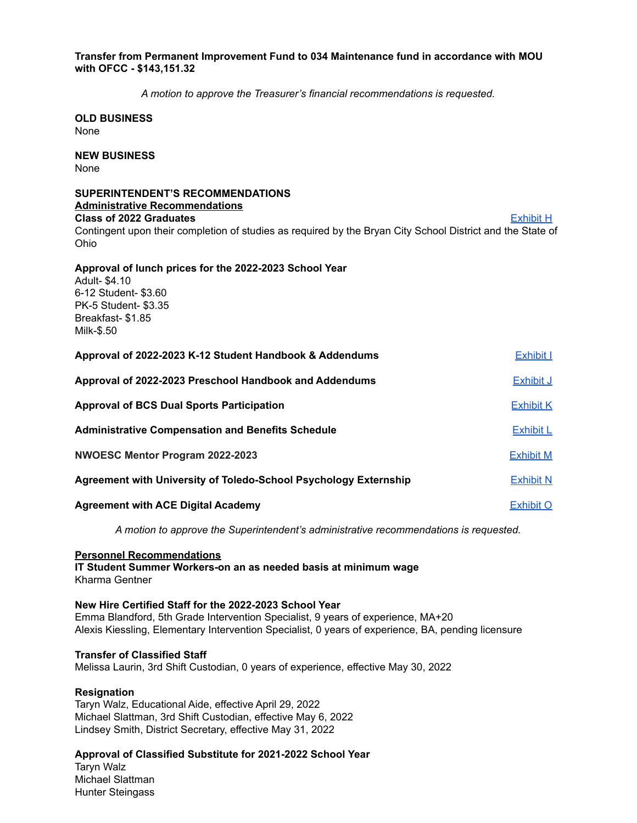## **Transfer from Permanent Improvement Fund to 034 Maintenance fund in accordance with MOU with OFCC - \$143,151.32**

*A motion to approve the Treasurer's financial recommendations is requested.*

**OLD BUSINESS** None

**NEW BUSINESS** None

#### **SUPERINTENDENT'S RECOMMENDATIONS Administrative Recommendations**

**Class of 2022 Graduates** [Exhibit](https://docs.google.com/document/d/1516KaHGMHuI4RAB-tnjRrXbQDKSfx5QMnrjCla87kcY/edit?usp=sharing) H

Contingent upon their completion of studies as required by the Bryan City School District and the State of Ohio

# **Approval of lunch prices for the 2022-2023 School Year**

Adult- \$4.10 6-12 Student- \$3.60 PK-5 Student- \$3.35 Breakfast- \$1.85 Milk-\$.50

| Approval of 2022-2023 K-12 Student Handbook & Addendums          | <b>Exhibit I</b> |
|------------------------------------------------------------------|------------------|
| Approval of 2022-2023 Preschool Handbook and Addendums           | Exhibit J        |
| <b>Approval of BCS Dual Sports Participation</b>                 | <b>Exhibit K</b> |
| <b>Administrative Compensation and Benefits Schedule</b>         | <b>Exhibit L</b> |
| NWOESC Mentor Program 2022-2023                                  | <b>Exhibit M</b> |
| Agreement with University of Toledo-School Psychology Externship | <b>Exhibit N</b> |
| <b>Agreement with ACE Digital Academy</b>                        | Exhibit O        |

*A motion to approve the Superintendent's administrative recommendations is requested.*

# **Personnel Recommendations**

**IT Student Summer Workers-on an as needed basis at minimum wage** Kharma Gentner

## **New Hire Certified Staff for the 2022-2023 School Year**

Emma Blandford, 5th Grade Intervention Specialist, 9 years of experience, MA+20 Alexis Kiessling, Elementary Intervention Specialist, 0 years of experience, BA, pending licensure

## **Transfer of Classified Staff**

Melissa Laurin, 3rd Shift Custodian, 0 years of experience, effective May 30, 2022

## **Resignation**

Taryn Walz, Educational Aide, effective April 29, 2022 Michael Slattman, 3rd Shift Custodian, effective May 6, 2022 Lindsey Smith, District Secretary, effective May 31, 2022

# **Approval of Classified Substitute for 2021-2022 School Year**

Taryn Walz Michael Slattman Hunter Steingass